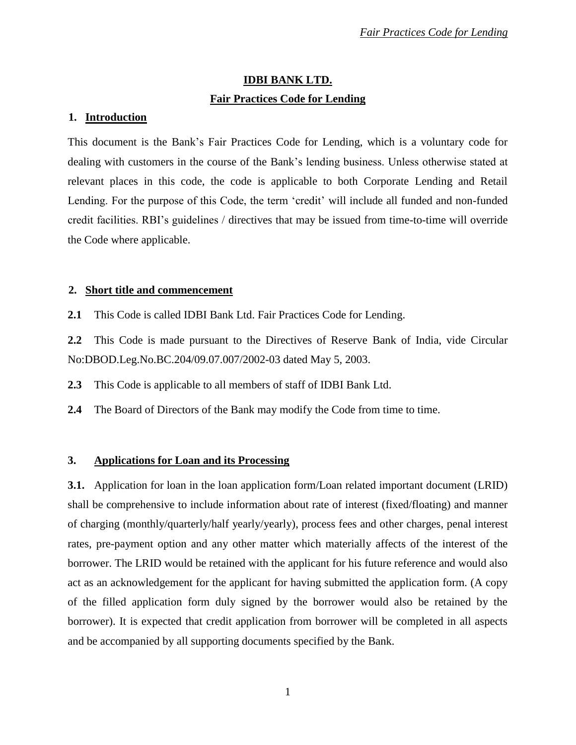# **IDBI BANK LTD. Fair Practices Code for Lending**

## **1. Introduction**

This document is the Bank's Fair Practices Code for Lending, which is a voluntary code for dealing with customers in the course of the Bank's lending business. Unless otherwise stated at relevant places in this code, the code is applicable to both Corporate Lending and Retail Lending. For the purpose of this Code, the term 'credit' will include all funded and non-funded credit facilities. RBI's guidelines / directives that may be issued from time-to-time will override the Code where applicable.

## **2. Short title and commencement**

**2.1** This Code is called IDBI Bank Ltd. Fair Practices Code for Lending.

**2.2** This Code is made pursuant to the Directives of Reserve Bank of India, vide Circular No:DBOD.Leg.No.BC.204/09.07.007/2002-03 dated May 5, 2003.

**2.3** This Code is applicable to all members of staff of IDBI Bank Ltd.

**2.4** The Board of Directors of the Bank may modify the Code from time to time.

# **3. Applications for Loan and its Processing**

**3.1.** Application for loan in the loan application form/Loan related important document (LRID) shall be comprehensive to include information about rate of interest (fixed/floating) and manner of charging (monthly/quarterly/half yearly/yearly), process fees and other charges, penal interest rates, pre-payment option and any other matter which materially affects of the interest of the borrower. The LRID would be retained with the applicant for his future reference and would also act as an acknowledgement for the applicant for having submitted the application form. (A copy of the filled application form duly signed by the borrower would also be retained by the borrower). It is expected that credit application from borrower will be completed in all aspects and be accompanied by all supporting documents specified by the Bank.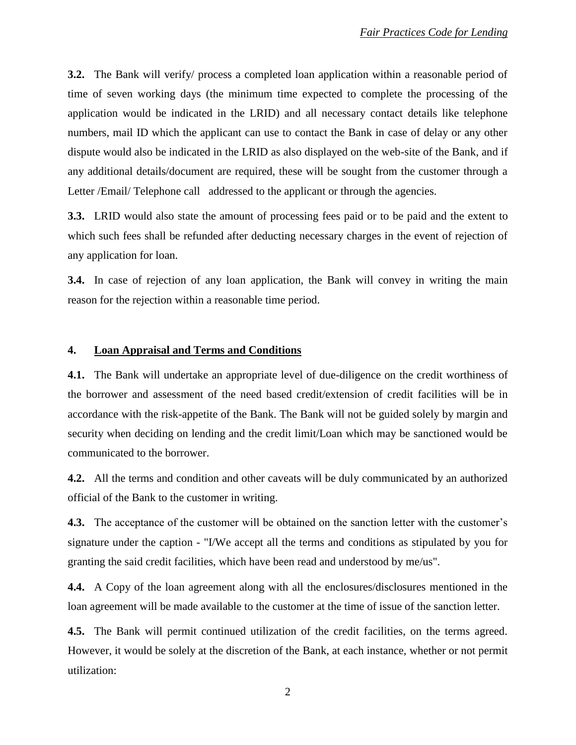**3.2.** The Bank will verify/ process a completed loan application within a reasonable period of time of seven working days (the minimum time expected to complete the processing of the application would be indicated in the LRID) and all necessary contact details like telephone numbers, mail ID which the applicant can use to contact the Bank in case of delay or any other dispute would also be indicated in the LRID as also displayed on the web-site of the Bank, and if any additional details/document are required, these will be sought from the customer through a Letter /Email/ Telephone call addressed to the applicant or through the agencies.

**3.3.** LRID would also state the amount of processing fees paid or to be paid and the extent to which such fees shall be refunded after deducting necessary charges in the event of rejection of any application for loan.

**3.4.** In case of rejection of any loan application, the Bank will convey in writing the main reason for the rejection within a reasonable time period.

# **4. Loan Appraisal and Terms and Conditions**

**4.1.** The Bank will undertake an appropriate level of due-diligence on the credit worthiness of the borrower and assessment of the need based credit/extension of credit facilities will be in accordance with the risk-appetite of the Bank. The Bank will not be guided solely by margin and security when deciding on lending and the credit limit/Loan which may be sanctioned would be communicated to the borrower.

**4.2.** All the terms and condition and other caveats will be duly communicated by an authorized official of the Bank to the customer in writing.

**4.3.** The acceptance of the customer will be obtained on the sanction letter with the customer's signature under the caption - "I/We accept all the terms and conditions as stipulated by you for granting the said credit facilities, which have been read and understood by me/us".

**4.4.** A Copy of the loan agreement along with all the enclosures/disclosures mentioned in the loan agreement will be made available to the customer at the time of issue of the sanction letter.

**4.5.** The Bank will permit continued utilization of the credit facilities, on the terms agreed. However, it would be solely at the discretion of the Bank, at each instance, whether or not permit utilization: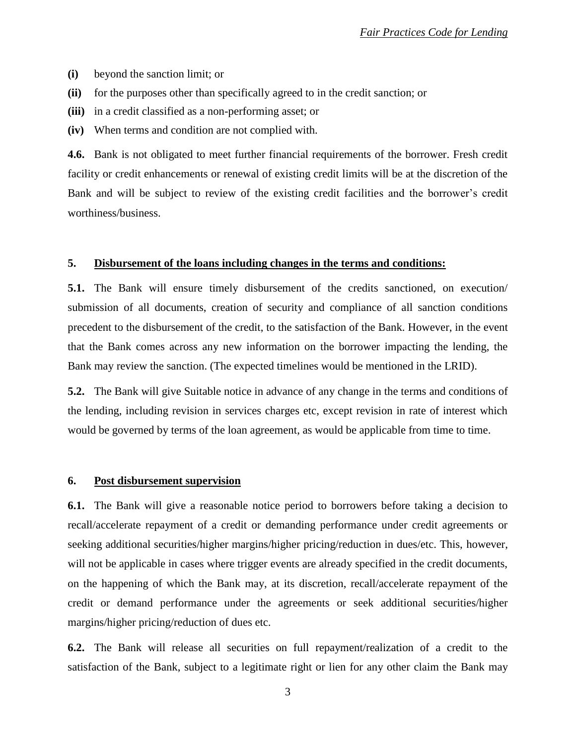- **(i)** beyond the sanction limit; or
- **(ii)** for the purposes other than specifically agreed to in the credit sanction; or
- **(iii)** in a credit classified as a non-performing asset; or
- **(iv)** When terms and condition are not complied with.

**4.6.** Bank is not obligated to meet further financial requirements of the borrower. Fresh credit facility or credit enhancements or renewal of existing credit limits will be at the discretion of the Bank and will be subject to review of the existing credit facilities and the borrower's credit worthiness/business.

#### **5. Disbursement of the loans including changes in the terms and conditions:**

**5.1.** The Bank will ensure timely disbursement of the credits sanctioned, on execution submission of all documents, creation of security and compliance of all sanction conditions precedent to the disbursement of the credit, to the satisfaction of the Bank. However, in the event that the Bank comes across any new information on the borrower impacting the lending, the Bank may review the sanction. (The expected timelines would be mentioned in the LRID).

**5.2.** The Bank will give Suitable notice in advance of any change in the terms and conditions of the lending, including revision in services charges etc, except revision in rate of interest which would be governed by terms of the loan agreement, as would be applicable from time to time.

#### **6. Post disbursement supervision**

**6.1.** The Bank will give a reasonable notice period to borrowers before taking a decision to recall/accelerate repayment of a credit or demanding performance under credit agreements or seeking additional securities/higher margins/higher pricing/reduction in dues/etc. This, however, will not be applicable in cases where trigger events are already specified in the credit documents, on the happening of which the Bank may, at its discretion, recall/accelerate repayment of the credit or demand performance under the agreements or seek additional securities/higher margins/higher pricing/reduction of dues etc.

**6.2.** The Bank will release all securities on full repayment/realization of a credit to the satisfaction of the Bank, subject to a legitimate right or lien for any other claim the Bank may

3